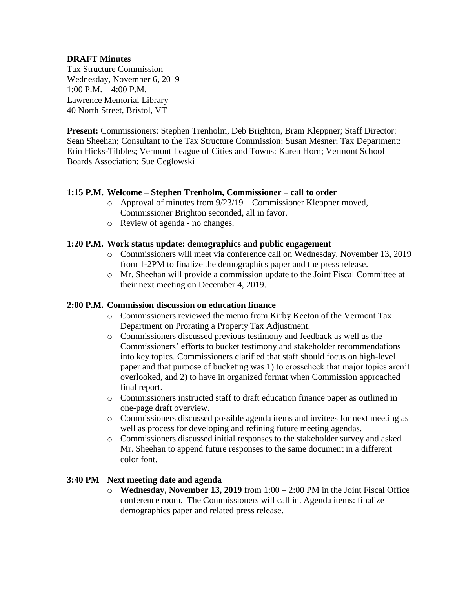## **DRAFT Minutes**

Tax Structure Commission Wednesday, November 6, 2019 1:00 P.M. – 4:00 P.M. Lawrence Memorial Library 40 North Street, Bristol, VT

**Present:** Commissioners: Stephen Trenholm, Deb Brighton, Bram Kleppner; Staff Director: Sean Sheehan; Consultant to the Tax Structure Commission: Susan Mesner; Tax Department: Erin Hicks-Tibbles; Vermont League of Cities and Towns: Karen Horn; Vermont School Boards Association: Sue Ceglowski

#### **1:15 P.M. Welcome – Stephen Trenholm, Commissioner – call to order**

- o Approval of [minutes from 9/23/19](https://ljfo.vermont.gov/assets/Meetings/Tax-Structure-Commission/2019-09-23/a5f8db49ba/TSC-DRAFT-Minutes-09-23-2019.pdf) Commissioner Kleppner moved, Commissioner Brighton seconded, all in favor.
- o Review of agenda no changes.

### **1:20 P.M. Work status update: demographics and public engagement**

- o Commissioners will meet via conference call on Wednesday, November 13, 2019 from 1-2PM to finalize the demographics paper and the press release.
- o Mr. Sheehan will provide a commission update to the Joint Fiscal Committee at their next meeting on December 4, 2019.

#### **2:00 P.M. Commission discussion on education finance**

- o Commissioners reviewed the [memo](https://ljfo.vermont.gov/assets/Meetings/Tax-Structure-Commission/2019-11-06/a863c29d15/Memo-to-VTC-re-PTA-KK-11-4-19.pdf) from Kirby Keeton of the Vermont Tax Department on Prorating a Property Tax Adjustment.
- o Commissioners discussed previous testimony and feedback as well as the Commissioners' efforts to bucket testimony and stakeholder recommendations into key topics. Commissioners clarified that staff should focus on high-level paper and that purpose of bucketing was 1) to crosscheck that major topics aren't overlooked, and 2) to have in organized format when Commission approached final report.
- o Commissioners instructed staff to draft education finance paper as outlined in one-page draft overview.
- o Commissioners discussed possible agenda items and invitees for next meeting as well as process for developing and refining future meeting agendas.
- o Commissioners discussed initial responses to the stakeholder survey and asked Mr. Sheehan to append future responses to the same document in a different color font.

#### **3:40 PM Next meeting date and agenda**

o **Wednesday, November 13, 2019** from 1:00 – 2:00 PM in the Joint Fiscal Office conference room. The Commissioners will call in. Agenda items: finalize demographics paper and related press release.